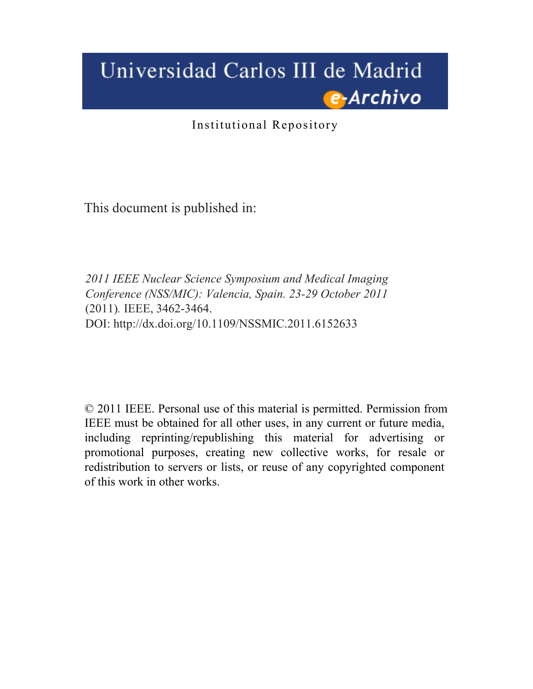# Universidad Carlos III de Madrid e-Archivo

Institutional Repository

This document is published in:

*2011 IEEE Nuclear Science Symposium and Medical Imaging Conference (NSS/MIC): Valencia, Spain. 23-29 October 2011*  (2011)*.* IEEE, 3462-3464. DOI:<http://dx.doi.org/10.1109/NSSMIC.2011.6152633>

© 2011 IEEE. Personal use of this material is permitted. Permission from IEEE must be obtained for all other uses, in any current or future media, including reprinting/republishing this material for advertising or promotional purposes, creating new collective works, for resale or redistribution to servers or lists, or reuse of any copyrighted component of this work in other works.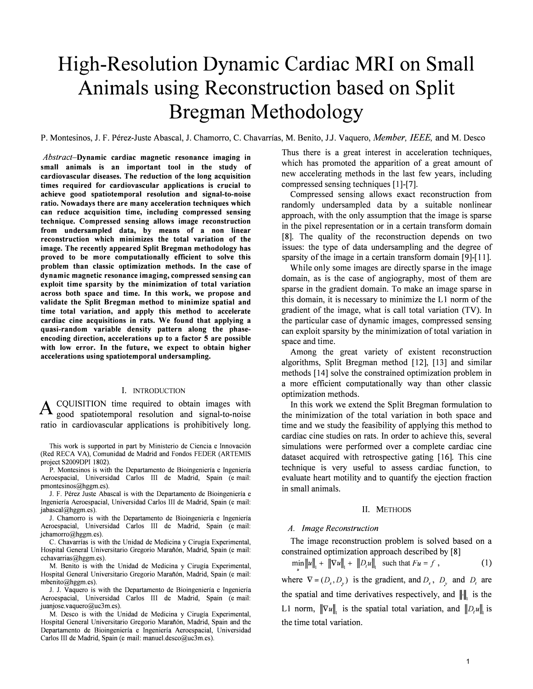# High-Resolution Dynamic Cardiac MRI on Small Animals using Reconstruction based on Split Bregman Methodology

P. Montesinos, J. F. Pérez-Juste Abascal, J. Chamorro, C. Chavarrías, M. Benito, J.J. Vaquero, Member, IEEE, and M. Desco

Abstract-Dynamic cardiac magnetic resonance imaging in small animals is an important tool in the study of cardiovascular diseases. The reduction of the long acquisition times required for cardiovascular applications is crucial to achieve good spatiotemporal resolution and signal-to-noise ratio. Nowadays there are many acceleration techniques which can reduce acquisition time, including compressed sensing technique. Compressed sensing allows image reconstruction from undersampled data, by means of a non linear reconstruction which minimizes the total variation of the image. The recently appeared Split Bregman methodology has proved to be more computationally efficient to solve this problem than classic optimization methods. In the case of dynamic magnetic resonance imaging, compressed sensing can exploit time sparsity by the minimization of total variation across both space and time. In this work, we propose and validate the Split Bregman method to minimize spatial and time total variation, and apply this method to accelerate cardiac cine acquisitions in rats. We found that applying a quasi-random variable density pattern along the phaseencoding direction, accelerations up to a factor 5 are possible with low error. In the future, we expect to obtain higher accelerations using spatiotemporal undersampling.

# I. INTRODUCTION

A CQUISITION time required to obtain images with good spatiotemporal resolution and signal-to-noise ratio in cardiovascular applications is prohibitively long.

This work is supported in part by Ministerio de Ciencia e Innovacion (Red RECA VA), Comunidad de Madrid and Fondos FEDER (ARTEMIS project S2009DPI 1802).

P. Montesinos is with the Departamento de Bioingenieria e Ingenieria Aeroespacial, Universidad Carlos III de Madrid, Spain (e mail: pmontesinos@hggm.es).

1. F. Perez Juste Abascal is with the Departamento de Bioingenieria e Ingenieria Aeroespacial, Universidad Carlos III de Madrid, Spain (e mail: jabascal@hggm.es).

1. Chamorro is with the Departamento de Bioingenieria e Ingenieria Aeroespacial, Universidad Carlos III de Madrid, Spain (e mail: jchamorro@hggm.es).

C. Chavarrias is with the Unidad de Medicina y Cirugia Experimental, Hospital General Universitario Gregorio Marañón, Madrid, Spain (e mail: cchavarrias@hggm.es).

M. Benito is with the Unidad de Medicina y Cirugia Experimental, Hospital General Universitario Gregorio Marañón, Madrid, Spain (e mail: mbenito@hggm.es).

1. J. Vaquero is with the Departamento de Bioingenieria e Ingenieria Aeroespacial, Universidad Carlos III de Madrid, Spain (e mail: juanjose. vaquero@uc3m.es).

M. Desco is with the Unidad de Medicina y Cirugia Experimental, Hospital General Universitario Gregorio Marañón, Madrid, Spain and the Departamento de Bioingenieria e Ingenieria Aeroespacial, Universidad Carlos III de Madrid, Spain (e mail: manuel.desco@uc3m.es).

Thus there is a great interest in acceleration techniques, which has promoted the apparition of a great amount of new accelerating methods in the last few years, including compressed sensing techniques [1]-[7].

Compressed sensing allows exact reconstruction from randomly undersampled data by a suitable nonlinear approach, with the only assumption that the image is sparse in the pixel representation or in a certain transform domain [8]. The quality of the reconstruction depends on two issues: the type of data undersampling and the degree of sparsity of the image in a certain transform domain [9]-[11].

While only some images are directly sparse in the image domain, as is the case of angiography, most of them are sparse in the gradient domain. To make an image sparse in this domain, it is necessary to minimize the Ll norm of the gradient of the image, what is call total variation (TV). In the particular case of dynamic images, compressed sensing can exploit sparsity by the minimization of total variation in space and time.

Among the great variety of existent reconstruction algorithms, Split Bregman method [12], [13] and similar methods [14] solve the constrained optimization problem in a more efficient computationally way than other classic optimization methods.

In this work we extend the Split Bregman formulation to the minimization of the total variation in both space and time and we study the feasibility of applying this method to cardiac cine studies on rats. In order to achieve this, several simulations were performed over a complete cardiac cine dataset acquired with retrospective gating [16]. This cine technique is very useful to assess cardiac function, to evaluate heart motility and to quantify the ejection fraction in small animals.

#### II. METHODS

# A. Image Reconstruction

The image reconstruction problem is solved based on a constrained optimization approach described by [8]

$$
\min_{u} \|u\|_{1} + \|\nabla u\|_{1} + \|D_{\mu}u\|_{1} \text{ such that } Fu = f,
$$
 (1)

where  $\nabla = (D_x, D_y)$  is the gradient, and  $D_x$ ,  $D_y$  and  $D_t$  are the spatial and time derivatives respectively, and  $\|\cdot\|$  is the L1 norm,  $\|\nabla u\|$  is the spatial total variation, and  $\|D_u\|$  is the time total variation.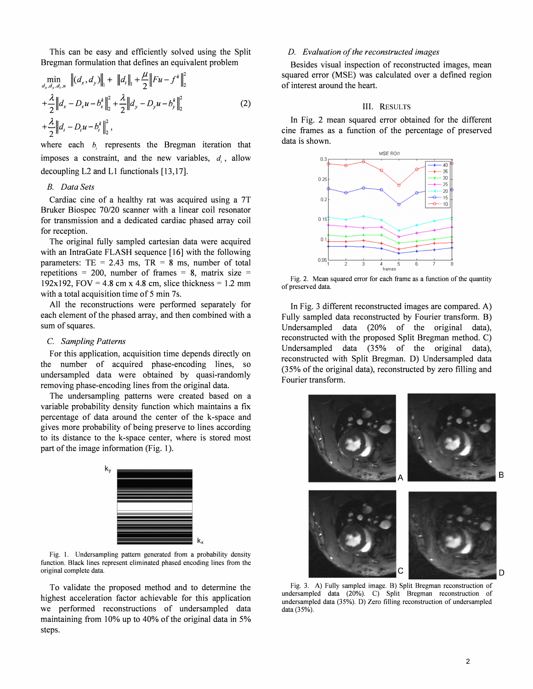This can be easy and efficiently solved using the Split Bregman formulation that defines an equivalent problem

$$
\min_{d_x, d_y, d_t, u} \| (d_x, d_y) \|_{1} + \| d_t \|_{1} + \frac{\mu}{2} \| Fu - f^k \|_{2}^{2}
$$
\n
$$
+ \frac{\lambda}{2} \| d_x - D_x u - b_x^k \|_{2}^{2} + \frac{\lambda}{2} \| d_y - D_y u - b_y^k \|_{2}^{2}
$$
\n
$$
+ \frac{\lambda}{2} \| d_t - D_t u - b_t^k \|_{2}^{2},
$$
\n(2)

where each  $b_i$  represents the Bregman iteration that imposes a constraint, and the new variables,  $d_i$ , allow decoupling  $L2$  and  $L1$  functionals  $[13,17]$ .

# B. Data Sets

Cardiac cine of a healthy rat was acquired using a 7T Bruker Biospec 70/20 scanner with a linear coil resonator for transmission and a dedicated cardiac phased array coil for reception.

The original fully sampled cartesian data were acquired with an IntraGate FLASH sequence [16] with the following parameters: TE = 2.43 ms, TR = 8 ms, number of total repetitions = 200, number of frames = 8, matrix size = 192x192, FOV = 4.8 cm x 4.8 cm, slice thickness = 1.2 mm with a total acquisition time of 5 min 7s.

All the reconstructions were performed separately for each element of the phased array, and then combined with a sum of squares.

### C. Sampling Patterns

For this application, acquisition time depends directly on the number of acquired phase-encoding lines, so undersampled data were obtained by quasi-randomly removing phase-encoding lines from the original data.

The undersampling patterns were created based on a variable probability density function which maintains a fix percentage of data around the center of the k-space and gives more probability of being preserve to lines according to its distance to the k-space center, where is stored most part of the image information (Fig. 1).



Fig. I. Undersampling pattern generated from a probability density function. Black lines represent eliminated phased encoding lines from the original complete data.

To validate the proposed method and to determine the highest acceleration factor achievable for this application we performed reconstructions of undersampled data maintaining from 10% up to 40% of the original data in 5% steps.

# D. Evaluation of the reconstructed images

Besides visual inspection of reconstructed images, mean squared error (MSE) was calculated over a defined region of interest around the heart.

# III. RESULTS

In Fig. 2 mean squared error obtained for the different cine frames as a function of the percentage of preserved data is shown.



Fig. 2. Mean squared error for each frame as a function of the quantity of preserved data.

In Fig. 3 different reconstructed images are compared. A) Fully sampled data reconstructed by Fourier transform. B) Undersampled data (20% of the original data), reconstructed with the proposed Split Bregman method. C) Undersampled data (35% of the original data), reconstructed with Split Bregman. D) Undersampled data (35% of the original data), reconstructed by zero filling and Fourier transform.



Fig. 3. A) Fully sampled image. B) Split Bregman reconstruction of undersampled data (20%). C) Split Bregman reconstruction of undersampled data (35%). D) Zero filling reconstruction of undersampled data (35%).